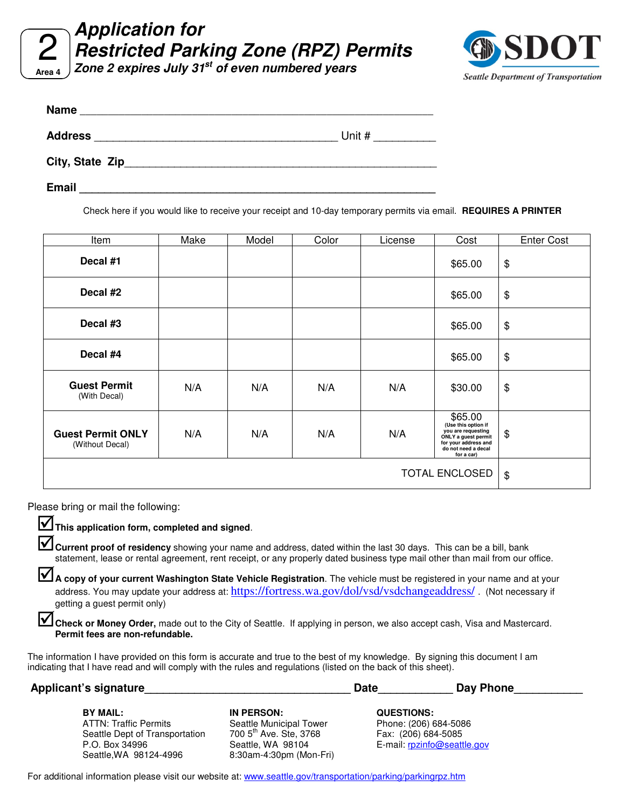**Application for Restricted Parking Zone (RPZ) Permits**

**Area 4 Zone 2 expires July 31st of even numbered years** 



| <b>Name</b><br><u> 1989 - Johann Stoff, deutscher Stoff als der Stoff als der Stoff als der Stoff als der Stoff als der Stoff a</u> |          |
|-------------------------------------------------------------------------------------------------------------------------------------|----------|
| <b>Address</b><br><u> 1980 - John Stone, Amerikaansk politiker (</u>                                                                | Unit $#$ |
| City, State Zip                                                                                                                     |          |
| <b>Email</b>                                                                                                                        |          |

Check here if you would like to receive your receipt and 10-day temporary permits via email. **REQUIRES A PRINTER**

| Item                                        | Make                       | Model | Color | License | Cost                                                                                                                                     | <b>Enter Cost</b> |
|---------------------------------------------|----------------------------|-------|-------|---------|------------------------------------------------------------------------------------------------------------------------------------------|-------------------|
| Decal #1                                    |                            |       |       |         | \$65.00                                                                                                                                  | \$                |
| Decal #2                                    |                            |       |       |         | \$65.00                                                                                                                                  | \$                |
| Decal #3                                    |                            |       |       |         | \$65.00                                                                                                                                  | \$                |
| Decal #4                                    |                            |       |       |         | \$65.00                                                                                                                                  | \$                |
| <b>Guest Permit</b><br>(With Decal)         | N/A                        | N/A   | N/A   | N/A     | \$30.00                                                                                                                                  | \$                |
| <b>Guest Permit ONLY</b><br>(Without Decal) | N/A                        | N/A   | N/A   | N/A     | \$65.00<br>(Use this option if<br>you are requesting<br>ONLY a guest permit<br>for your address and<br>do not need a decal<br>for a car) | \$                |
|                                             | $\boldsymbol{\mathsf{\$}}$ |       |       |         |                                                                                                                                          |                   |

Please bring or mail the following:

**This application form, completed and signed**.

**Let Current proof of residency** showing your name and address, dated within the last 30 days. This can be a bill, bank statement, lease or rental agreement, rent receipt, or any properly dated business type mail other than mail from our office.

A copy of your current Washington State Vehicle Registration. The vehicle must be registered in your name and at your address. You may update your address at: https://fortress.wa.gov/dol/vsd/vsdchangeaddress/. (Not necessary if getting a guest permit only)

Check or Money Order, made out to the City of Seattle. If applying in person, we also accept cash, Visa and Mastercard. **Permit fees are non-refundable.**

The information I have provided on this form is accurate and true to the best of my knowledge. By signing this document I am indicating that I have read and will comply with the rules and regulations (listed on the back of this sheet).

| Applicant's signature          |                                    | <b>Date</b>                 | Day Phone |  |
|--------------------------------|------------------------------------|-----------------------------|-----------|--|
| <b>BY MAIL:</b>                | IN PERSON:                         | <b>QUESTIONS:</b>           |           |  |
| <b>ATTN: Traffic Permits</b>   | Seattle Municipal Tower            | Phone: (206) 684-5086       |           |  |
| Seattle Dept of Transportation | 700 5 <sup>th</sup> Ave. Ste, 3768 | Fax: (206) 684-5085         |           |  |
| P.O. Box 34996                 | Seattle, WA 98104                  | E-mail: rpzinfo@seattle.gov |           |  |
| Seattle, WA 98124-4996         | 8:30am-4:30pm (Mon-Fri)            |                             |           |  |

For additional information please visit our website at: www.seattle.gov/transportation/parking/parkingrpz.htm